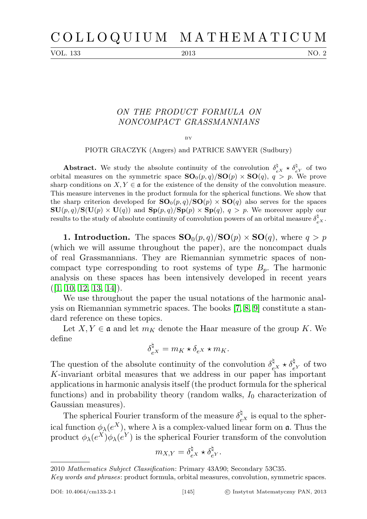VOL. 133 2013 2013

## ON THE PRODUCT FORMULA ON NONCOMPACT GRASSMANNIANS

BY

PIOTR GRACZYK (Angers) and PATRICE SAWYER (Sudbury)

**Abstract.** We study the absolute continuity of the convolution  $\delta_{eX}^{\sharp} \star \delta_{eY}^{\sharp}$  of two orbital measures on the symmetric space  $SO_0(p,q)/SO(p) \times SO(q)$ ,  $q > p$ . We prove sharp conditions on  $X, Y \in \mathfrak{a}$  for the existence of the density of the convolution measure. This measure intervenes in the product formula for the spherical functions. We show that the sharp criterion developed for  $SO_0(p,q)/SO(p) \times SO(q)$  also serves for the spaces  $\mathbf{SU}(p,q)/\mathbf{S}(\mathbf{U}(p)\times\mathbf{U}(q))$  and  $\mathbf{Sp}(p,q)/\mathbf{Sp}(p)\times\mathbf{Sp}(q), q > p$ . We moreover apply our results to the study of absolute continuity of convolution powers of an orbital measure  $\delta_{e^X}^{\natural}$ .

**1. Introduction.** The spaces  $SO_0(p,q)/SO(p) \times SO(q)$ , where  $q > p$ (which we will assume throughout the paper), are the noncompact duals of real Grassmannians. They are Riemannian symmetric spaces of noncompact type corresponding to root systems of type  $B_p$ . The harmonic analysis on these spaces has been intensively developed in recent years  $(|1, 10, 12, 13, 14|).$  $(|1, 10, 12, 13, 14|).$  $(|1, 10, 12, 13, 14|).$  $(|1, 10, 12, 13, 14|).$  $(|1, 10, 12, 13, 14|).$ 

We use throughout the paper the usual notations of the harmonic analysis on Riemannian symmetric spaces. The books [\[7,](#page-22-4) [8,](#page-22-5) [9\]](#page-22-6) constitute a standard reference on these topics.

Let  $X, Y \in \mathfrak{a}$  and let  $m_K$  denote the Haar measure of the group K. We define

$$
\delta_{e^X}^{\natural} = m_K \star \delta_{e^X} \star m_K.
$$

The question of the absolute continuity of the convolution  $\delta_{eX}^{\natural} \star \delta_{eY}^{\natural}$  of two K-invariant orbital measures that we address in our paper has important applications in harmonic analysis itself (the product formula for the spherical functions) and in probability theory (random walks,  $I_0$  characterization of Gaussian measures).

The spherical Fourier transform of the measure  $\delta_{eX}^{\dagger}$  is equal to the spherical function  $\phi_{\lambda}(e^X)$ , where  $\lambda$  is a complex-valued linear form on  $\mathfrak{a}$ . Thus the product  $\phi_{\lambda}(e^X)\phi_{\lambda}(e^Y)$  is the spherical Fourier transform of the convolution

$$
m_{X,Y} = \delta_{e^X}^{\natural} \star \delta_{e^Y}^{\natural}.
$$

<sup>2010</sup> Mathematics Subject Classification: Primary 43A90; Secondary 53C35.

Key words and phrases: product formula, orbital measures, convolution, symmetric spaces.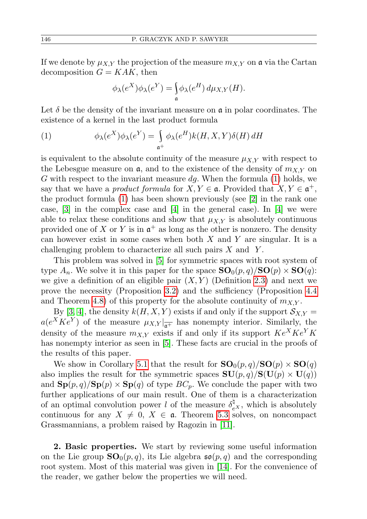If we denote by  $\mu_{X,Y}$  the projection of the measure  $m_{X,Y}$  on a via the Cartan decomposition  $G = KAK$ , then

<span id="page-1-0"></span>
$$
\phi_{\lambda}(e^X)\phi_{\lambda}(e^Y) = \int_{\mathfrak{a}} \phi_{\lambda}(e^H) d\mu_{X,Y}(H).
$$

Let  $\delta$  be the density of the invariant measure on  $\mathfrak a$  in polar coordinates. The existence of a kernel in the last product formula

(1) 
$$
\phi_{\lambda}(e^{X})\phi_{\lambda}(e^{Y}) = \int_{\mathfrak{a}^{+}} \phi_{\lambda}(e^{H})k(H, X, Y)\delta(H) dH
$$

is equivalent to the absolute continuity of the measure  $\mu_{X,Y}$  with respect to the Lebesgue measure on  $\mathfrak{a}$ , and to the existence of the density of  $m_{X,Y}$  on G with respect to the invariant measure  $dg$ . When the formula [\(1\)](#page-1-0) holds, we say that we have a *product formula* for  $X, Y \in \mathfrak{a}$ . Provided that  $X, Y \in \mathfrak{a}^+$ , the product formula  $(1)$  has been shown previously (see [\[2\]](#page-21-1) in the rank one case,  $[3]$  in the complex case and  $[4]$  in the general case). In  $[4]$  we were able to relax these conditions and show that  $\mu_{XY}$  is absolutely continuous provided one of X or Y is in  $\mathfrak{a}^+$  as long as the other is nonzero. The density can however exist in some cases when both  $X$  and  $Y$  are singular. It is a challenging problem to characterize all such pairs  $X$  and  $Y$ .

This problem was solved in [\[5\]](#page-22-8) for symmetric spaces with root system of type  $A_n$ . We solve it in this paper for the space  $\mathbf{SO}_0(p,q)/\mathbf{SO}(p)\times \mathbf{SO}(q)$ : we give a definition of an eligible pair  $(X, Y)$  (Definition [2.3\)](#page-5-0) and next we prove the necessity (Proposition [3.2\)](#page-6-0) and the sufficiency (Proposition [4.4](#page-8-0) and Theorem [4.8\)](#page-9-0) of this property for the absolute continuity of  $m_{X,Y}$ .

By [\[3,](#page-21-2) [4\]](#page-22-7), the density  $k(H, X, Y)$  exists if and only if the support  $S_{X,Y}$  =  $a(e^X K e^Y)$  of the measure  $\mu_{X,Y}|_{\overline{\mathfrak{a}^+}}$  has nonempty interior. Similarly, the density of the measure  $m_{X,Y}$  exists if and only if its support  $Ke^{X}Ke^{Y}K$ has nonempty interior as seen in [\[5\]](#page-22-8). These facts are crucial in the proofs of the results of this paper.

We show in Corollary [5.1](#page-19-0) that the result for  $\mathbf{SO}_0(p,q)/\mathbf{SO}(p)\times \mathbf{SO}(q)$ also implies the result for the symmetric spaces  $SU(p, q)/S(U(p) \times U(q))$ and  $\mathbf{Sp}(p,q)/\mathbf{Sp}(p)\times \mathbf{Sp}(q)$  of type  $BC_p$ . We conclude the paper with two further applications of our main result. One of them is a characterization of an optimal convolution power l of the measure  $\delta_{e^X}^{\natural}$ , which is absolutely continuous for any  $X \neq 0, X \in \mathfrak{a}$ . Theorem [5.3](#page-20-0) solves, on noncompact Grassmannians, a problem raised by Ragozin in [\[11\]](#page-22-9).

2. Basic properties. We start by reviewing some useful information on the Lie group  $SO_0(p,q)$ , its Lie algebra  $\mathfrak{so}(p,q)$  and the corresponding root system. Most of this material was given in [\[14\]](#page-22-3). For the convenience of the reader, we gather below the properties we will need.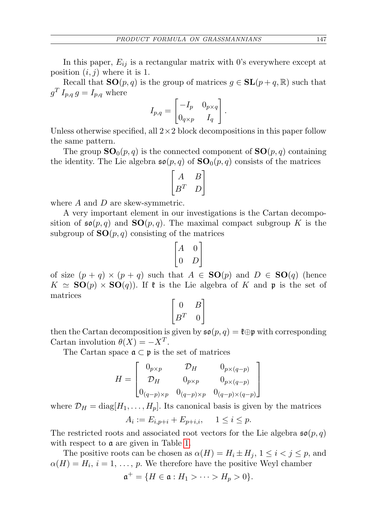In this paper,  $E_{ij}$  is a rectangular matrix with 0's everywhere except at position  $(i, j)$  where it is 1.

Recall that  $SO(p, q)$  is the group of matrices  $g \in SL(p+q, \mathbb{R})$  such that  $g^T I_{p,q} g = I_{p,q}$  where

$$
I_{p,q} = \begin{bmatrix} -I_p & 0_{p \times q} \\ 0_{q \times p} & I_q \end{bmatrix}.
$$

Unless otherwise specified, all  $2 \times 2$  block decompositions in this paper follow the same pattern.

The group  $SO_0(p,q)$  is the connected component of  $SO(p,q)$  containing the identity. The Lie algebra  $\mathfrak{so}(p,q)$  of  $\mathbf{SO}_0(p,q)$  consists of the matrices

$$
\begin{bmatrix} A & B \\ B^T & D \end{bmatrix}
$$

where A and D are skew-symmetric.

A very important element in our investigations is the Cartan decomposition of  $\mathfrak{so}(p,q)$  and  $SO(p,q)$ . The maximal compact subgroup K is the subgroup of  $SO(p,q)$  consisting of the matrices

$$
\begin{bmatrix} A & 0 \\ 0 & D \end{bmatrix}
$$

of size  $(p+q) \times (p+q)$  such that  $A \in SO(p)$  and  $D \in SO(q)$  (hence  $K \simeq SO(p) \times SO(q)$ . If  $\mathfrak k$  is the Lie algebra of K and p is the set of matrices

$$
\begin{bmatrix} 0 & B \\ B^T & 0 \end{bmatrix}
$$

then the Cartan decomposition is given by  $\mathfrak{so}(p,q) = \mathfrak{k} \oplus \mathfrak{p}$  with corresponding Cartan involution  $\theta(X) = -X^T$ .

The Cartan space  $\mathfrak{a} \subset \mathfrak{p}$  is the set of matrices

$$
H = \begin{bmatrix} 0_{p \times p} & \mathcal{D}_H & 0_{p \times (q-p)} \\ \mathcal{D}_H & 0_{p \times p} & 0_{p \times (q-p)} \\ 0_{(q-p) \times p} & 0_{(q-p) \times p} & 0_{(q-p) \times (q-p)} \end{bmatrix}
$$

where  $\mathcal{D}_H = \text{diag}[H_1, \ldots, H_p]$ . Its canonical basis is given by the matrices

$$
A_i := E_{i,p+i} + E_{p+i,i}, \quad 1 \le i \le p.
$$

The restricted roots and associated root vectors for the Lie algebra  $\mathfrak{so}(p,q)$ with respect to **a** are given in Table [1.](#page-3-0)

The positive roots can be chosen as  $\alpha(H) = H_i \pm H_j$ ,  $1 \leq i \leq j \leq p$ , and  $\alpha(H) = H_i$ ,  $i = 1, \ldots, p$ . We therefore have the positive Weyl chamber

$$
\mathfrak{a}^+=\{H\in\mathfrak{a}:H_1>\cdots>H_p>0\}.
$$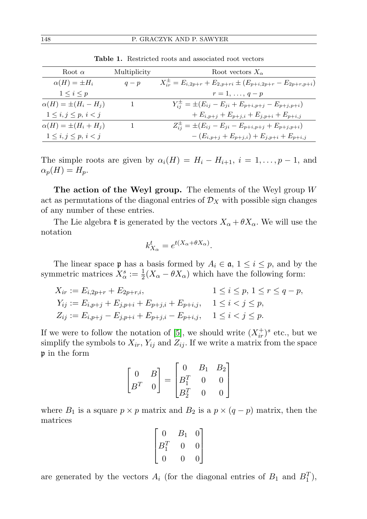| Root $\alpha$                 | Multiplicity | Root vectors $X_{\alpha}$                                                  |
|-------------------------------|--------------|----------------------------------------------------------------------------|
| $\alpha(H) = \pm H_i$         | $q-p$        | $X_{ir}^{\pm} = E_{i,2p+r} + E_{2,p+ri} \pm (E_{p+i,2p+r} - E_{2p+r,p+i})$ |
| $1\leq i\leq p$               |              | $r=1,\ldots,q-p$                                                           |
| $\alpha(H) = \pm (H_i - H_j)$ |              | $Y_{ij}^{\pm} = \pm (E_{ij} - E_{ji} + E_{p+i,p+j} - E_{p+j,p+i})$         |
| $1\leq i,j\leq p,\,i$         |              | $+E_{i,p+j}+E_{p+j,i}+E_{j,p+i}+E_{p+i,j}$                                 |
| $\alpha(H) = \pm (H_i + H_j)$ |              | $Z_{ij}^{\pm} = \pm (E_{ij} - E_{ji} - E_{p+i,p+j} + E_{p+j,p+i})$         |
| $1\leq i,j\leq p, i< j$       |              | $-(E_{i,p+j}+E_{p+j,i})+E_{j,p+i}+E_{p+i,j})$                              |

<span id="page-3-0"></span>Table 1. Restricted roots and associated root vectors

The simple roots are given by  $\alpha_i(H) = H_i - H_{i+1}, i = 1, \ldots, p-1$ , and  $\alpha_p(H) = H_p.$ 

The action of the Weyl group. The elements of the Weyl group  $W$ act as permutations of the diagonal entries of  $\mathcal{D}_X$  with possible sign changes of any number of these entries.

The Lie algebra  $\mathfrak k$  is generated by the vectors  $X_\alpha + \theta X_\alpha$ . We will use the notation

$$
k_{X_{\alpha}}^t = e^{t(X_{\alpha} + \theta X_{\alpha})}.
$$

The linear space **p** has a basis formed by  $A_i \in \mathfrak{a}, 1 \leq i \leq p$ , and by the symmetric matrices  $X^s_\alpha := \frac{1}{2}(X_\alpha - \theta X_\alpha)$  which have the following form:

$$
X_{ir} := E_{i,2p+r} + E_{2p+r,i},
$$
  
\n
$$
1 \le i \le p, 1 \le r \le q-p,
$$
  
\n
$$
Y_{ij} := E_{i,p+j} + E_{j,p+i} + E_{p+j,i} + E_{p+i,j},
$$
  
\n
$$
1 \le i < j \le p,
$$
  
\n
$$
Z_{ij} := E_{i,p+j} - E_{j,p+i} + E_{p+j,i} - E_{p+i,j},
$$
  
\n
$$
1 \le i < j \le p.
$$

If we were to follow the notation of [\[5\]](#page-22-8), we should write  $(X_{ir}^+)^s$  etc., but we simplify the symbols to  $X_{ir}$ ,  $Y_{ij}$  and  $Z_{ij}$ . If we write a matrix from the space p in the form

$$
\begin{bmatrix} 0 & B \\ B^T & 0 \end{bmatrix} = \begin{bmatrix} 0 & B_1 & B_2 \\ B_1^T & 0 & 0 \\ B_2^T & 0 & 0 \end{bmatrix}
$$

where  $B_1$  is a square  $p \times p$  matrix and  $B_2$  is a  $p \times (q - p)$  matrix, then the matrices

$$
\begin{bmatrix} 0 & B_1 & 0 \\ B_1^T & 0 & 0 \\ 0 & 0 & 0 \end{bmatrix}
$$

are generated by the vectors  $A_i$  (for the diagonal entries of  $B_1$  and  $B_1^T$ ),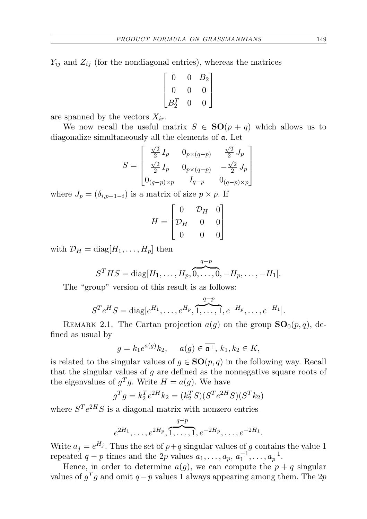$Y_{ij}$  and  $Z_{ij}$  (for the nondiagonal entries), whereas the matrices

$$
\begin{bmatrix} 0 & 0 & B_2 \\ 0 & 0 & 0 \\ B_2^T & 0 & 0 \end{bmatrix}
$$

are spanned by the vectors  $X_{ir}$ .

We now recall the useful matrix  $S \in SO(p+q)$  which allows us to diagonalize simultaneously all the elements of a. Let

$$
S = \begin{bmatrix} \frac{\sqrt{2}}{2} I_p & 0_{p \times (q-p)} & \frac{\sqrt{2}}{2} J_p \\ \frac{\sqrt{2}}{2} I_p & 0_{p \times (q-p)} & -\frac{\sqrt{2}}{2} J_p \\ 0_{(q-p) \times p} & I_{q-p} & 0_{(q-p) \times p} \end{bmatrix}
$$

where  $J_p = (\delta_{i,p+1-i})$  is a matrix of size  $p \times p$ . If

$$
H = \begin{bmatrix} 0 & \mathcal{D}_H & 0 \\ \mathcal{D}_H & 0 & 0 \\ 0 & 0 & 0 \end{bmatrix}
$$

with  $\mathcal{D}_H = \text{diag}[H_1, \ldots, H_p]$  then

$$
S^{T}HS = \text{diag}[H_1, \ldots, H_p, \overbrace{0, \ldots, 0}^{q-p}, -H_p, \ldots, -H_1].
$$

The "group" version of this result is as follows:

$$
S^{T}e^{H}S = \text{diag}[e^{H_1}, \dots, e^{H_p}, \overbrace{1, \dots, 1}^{q-p}, e^{-H_p}, \dots, e^{-H_1}].
$$

<span id="page-4-0"></span>REMARK 2.1. The Cartan projection  $a(q)$  on the group  $SO_0(p,q)$ , defined as usual by

$$
g = k_1 e^{a(g)} k_2, \quad a(g) \in \overline{\mathfrak{a}^+}, \, k_1, k_2 \in K,
$$

is related to the singular values of  $g \in SO(p,q)$  in the following way. Recall that the singular values of  $g$  are defined as the nonnegative square roots of the eigenvalues of  $g^T g$ . Write  $H = a(g)$ . We have

$$
g^T g = k_2^T e^{2H} k_2 = (k_2^T S)(S^T e^{2H} S)(S^T k_2)
$$

where  $S^{T}e^{2H}S$  is a diagonal matrix with nonzero entries

$$
e^{2H_1}, \ldots, e^{2H_p}, \overbrace{1, \ldots, 1}^{q-p}, e^{-2H_p}, \ldots, e^{-2H_1}.
$$

Write  $a_j = e^{H_j}$ . Thus the set of  $p+q$  singular values of g contains the value 1 repeated  $q-p$  times and the 2p values  $a_1, \ldots, a_p, a_1^{-1}, \ldots, a_p^{-1}$ .

Hence, in order to determine  $a(g)$ , we can compute the  $p + q$  singular values of  $g^T g$  and omit  $q-p$  values 1 always appearing among them. The 2p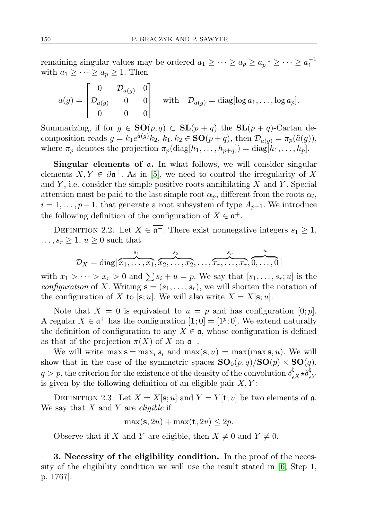remaining singular values may be ordered  $a_1 \geq \cdots \geq a_p \geq a_p^{-1} \geq \cdots \geq a_1^{-1}$ with  $a_1 \geq \cdots \geq a_p \geq 1$ . Then

$$
a(g) = \begin{bmatrix} 0 & \mathcal{D}_{a(g)} & 0 \\ \mathcal{D}_{a(g)} & 0 & 0 \\ 0 & 0 & 0 \end{bmatrix} \quad \text{with} \quad \mathcal{D}_{a(g)} = \text{diag}[\log a_1, \dots, \log a_p].
$$

Summarizing, if for  $g \in SO(p,q) \subset SL(p+q)$  the  $SL(p+q)$ -Cartan decomposition reads  $g = k_1 e^{\tilde{a}(g)} k_2, k_1, k_2 \in SO(p+q)$ , then  $\mathcal{D}_{a(g)} = \pi_p(\tilde{a}(g))$ , where  $\pi_p$  denotes the projection  $\pi_p(\text{diag}[h_1, \ldots, h_{p+q}]) = \text{diag}[h_1, \ldots, h_p].$ 

Singular elements of  $a$ . In what follows, we will consider singular elements  $X, Y \in \partial \mathfrak{a}^+$ . As in [\[5\]](#page-22-8), we need to control the irregularity of X and  $Y$ , i.e. consider the simple positive roots annihilating  $X$  and  $Y$ . Special attention must be paid to the last simple root  $\alpha_p$ , different from the roots  $\alpha_i$ ,  $i = 1, \ldots, p-1$ , that generate a root subsystem of type  $A_{p-1}$ . We introduce the following definition of the configuration of  $X \in \overline{\mathfrak{a}^+}$ .

DEFINITION 2.2. Let  $X \in \overline{\mathfrak{a}^+}$ . There exist nonnegative integers  $s_1 \geq 1$ ,  $\ldots$ ,  $s_r \geq 1$ ,  $u \geq 0$  such that

$$
\mathcal{D}_X = \text{diag}[\overbrace{x_1,\ldots,x_1}^{s_1},\overbrace{x_2,\ldots,x_2}^{s_2},\ldots,\overbrace{x_r,\ldots,x_r}^{s_r},\overbrace{0,\ldots,0}^{u} ]
$$

with  $x_1 > \cdots > x_r > 0$  and  $\sum s_i + u = p$ . We say that  $[s_1, \ldots, s_r; u]$  is the configuration of X. Writing  $\mathbf{s} = (s_1, \ldots, s_r)$ , we will shorten the notation of the configuration of X to [s; u]. We will also write  $X = X[\mathbf{s}; u]$ .

Note that  $X = 0$  is equivalent to  $u = p$  and has configuration  $[0; p]$ . A regular  $X \in \mathfrak{a}^+$  has the configuration  $[1;0] = [1^p;0]$ . We extend naturally the definition of configuration to any  $X \in \mathfrak{a}$ , whose configuration is defined as that of the projection  $\pi(X)$  of X on  $\mathfrak{a}^+$ .

We will write  $\max s = \max_i s_i$  and  $\max(s, u) = \max(\max s, u)$ . We will show that in the case of the symmetric spaces  $SO_0(p,q)/SO(p) \times SO(q)$ ,  $q > p$ , the criterion for the existence of the density of the convolution  $\delta_{eX}^{\natural} \star \delta_{eY}^{\natural}$ is given by the following definition of an eligible pair  $X, Y$ :

<span id="page-5-0"></span>DEFINITION 2.3. Let  $X = X[\mathbf{s}; u]$  and  $Y = Y[\mathbf{t}; v]$  be two elements of a. We say that  $X$  and  $Y$  are *eligible* if

$$
\max(\mathbf{s}, 2u) + \max(\mathbf{t}, 2v) \le 2p.
$$

Observe that if X and Y are eligible, then  $X \neq 0$  and  $Y \neq 0$ .

<span id="page-5-1"></span>3. Necessity of the eligibility condition. In the proof of the necessity of the eligibility condition we will use the result stated in [\[6,](#page-22-10) Step 1, p. 1767]: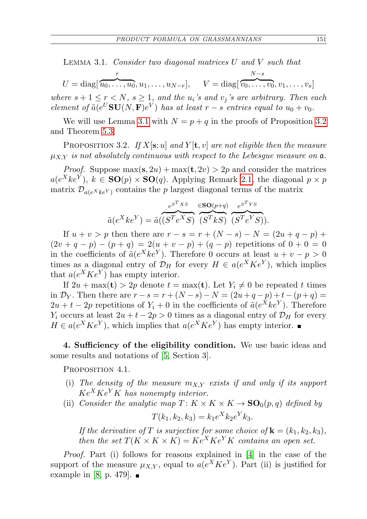LEMMA 3.1. Consider two diagonal matrices  $U$  and  $V$  such that

$$
U = \text{diag}[\overbrace{u_0, \dots, u_0}^r, u_1, \dots, u_{N-r}], \quad V = \text{diag}[\overbrace{v_0, \dots, v_0}^{N-s}, v_1, \dots, v_s]
$$

where  $s + 1 \le r < N$ ,  $s \ge 1$ , and the  $u_i$ 's and  $v_j$ 's are arbitrary. Then each element of  $\tilde{a}(e^U \mathbf{SU}(N, \mathbf{F})e^V)$  has at least  $r - s$  entries equal to  $u_0 + v_0$ .

We will use Lemma [3.1](#page-5-1) with  $N = p + q$  in the proofs of Proposition [3.2](#page-6-0) and Theorem [5.3.](#page-20-0)

<span id="page-6-0"></span>PROPOSITION 3.2. If  $X[\mathbf{s}; u]$  and  $Y[\mathbf{t}, v]$  are not eligible then the measure  $\mu_{XY}$  is not absolutely continuous with respect to the Lebesgue measure on  $\mathfrak{a}$ .

*Proof.* Suppose  $\max(s, 2u) + \max(t, 2v) > 2p$  and consider the matrices  $a(e^Xke^Y), k \in SO(p) \times SO(q)$ . Applying Remark [2.1,](#page-4-0) the diagonal  $p \times p$ matrix  $\mathcal{D}_{a(e^X k e^Y)}$  contains the p largest diagonal terms of the matrix

$$
\tilde{a}(e^X ke^Y) = \tilde{a}(\overbrace{(S^T e^X S)}^{e^{S^T X S}} \overbrace{(S^T k S)}^{cSO(p+q)} \overbrace{(S^T e^Y S)}^{e^{S^T Y S}}).
$$

If  $u + v > p$  then there are  $r - s = r + (N - s) - N = (2u + q - p) +$  $(2v + q - p) - (p + q) = 2(u + v - p) + (q - p)$  repetitions of  $0 + 0 = 0$ in the coefficients of  $\tilde{a}(e^X k e^Y)$ . Therefore 0 occurs at least  $u + v - p > 0$ times as a diagonal entry of  $\mathcal{D}_H$  for every  $H \in a(e^X K e^Y)$ , which implies that  $a(e^X K e^Y)$  has empty interior.

If  $2u + \max(t) > 2p$  denote  $t = \max(t)$ . Let  $Y_i \neq 0$  be repeated t times in  $\mathcal{D}_Y$ . Then there are  $r - s = r + (N - s) - N = (2u + q - p) + t - (p + q) =$  $2u + t - 2p$  repetitions of  $Y_i + 0$  in the coefficients of  $\tilde{a}(e^X k e^Y)$ . Therefore  $Y_i$  occurs at least  $2u + t - 2p > 0$  times as a diagonal entry of  $\mathcal{D}_H$  for every  $H \in a(e^X K e^Y)$ , which implies that  $a(e^X K e^Y)$  has empty interior.

4. Sufficiency of the eligibility condition. We use basic ideas and some results and notations of [\[5,](#page-22-8) Section 3].

PROPOSITION 4.1.

- (i) The density of the measure  $m_{X,Y}$  exists if and only if its support  $Ke<sup>X</sup>Ke<sup>Y</sup>K$  has nonempty interior.
- (ii) Consider the analytic map  $T: K \times K \times K \to SO_0(p,q)$  defined by

$$
T(k_1, k_2, k_3) = k_1 e^X k_2 e^Y k_3.
$$

If the derivative of T is surjective for some choice of  $\mathbf{k} = (k_1, k_2, k_3)$ , then the set  $T(K \times K \times K) = Ke^{X}Ke^{Y}K$  contains an open set.

Proof. Part (i) follows for reasons explained in [\[4\]](#page-22-7) in the case of the support of the measure  $\mu_{X,Y}$ , equal to  $a(e^X K e^Y)$ . Part (ii) is justified for example in [\[8,](#page-22-5) p. 479].  $\blacksquare$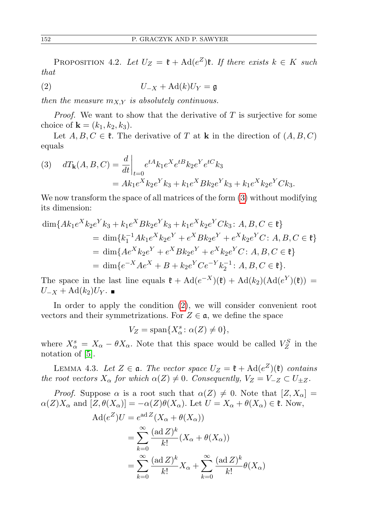PROPOSITION 4.2. Let  $U_Z = \mathfrak{k} + \text{Ad}(e^Z)\mathfrak{k}$ . If there exists  $k \in K$  such that

<span id="page-7-1"></span>
$$
(2) \t\t\t U_{-X} + \mathrm{Ad}(k)U_{Y} = \mathfrak{g}
$$

then the measure  $m_{X,Y}$  is absolutely continuous.

*Proof.* We want to show that the derivative of  $T$  is surjective for some choice of **k** =  $(k_1, k_2, k_3)$ .

Let  $A, B, C \in \mathfrak{k}$ . The derivative of T at **k** in the direction of  $(A, B, C)$ equals

<span id="page-7-0"></span>(3) 
$$
dT_{\mathbf{k}}(A, B, C) = \frac{d}{dt}\Big|_{t=0} e^{tA} k_1 e^X e^{tB} k_2 e^Y e^{tC} k_3
$$

$$
= Ak_1 e^X k_2 e^Y k_3 + k_1 e^X B k_2 e^Y k_3 + k_1 e^X k_2 e^Y C k_3.
$$

We now transform the space of all matrices of the form [\(3\)](#page-7-0) without modifying its dimension:

$$
\dim\{Ak_1e^{X}k_2e^{Y}k_3 + k_1e^{X}Bk_2e^{Y}k_3 + k_1e^{X}k_2e^{Y}Ck_3 : A, B, C \in \mathfrak{k}\}
$$
  
= 
$$
\dim\{k_1^{-1}Ak_1e^{X}k_2e^{Y} + e^{X}Bk_2e^{Y} + e^{X}k_2e^{Y}C : A, B, C \in \mathfrak{k}\}
$$
  
= 
$$
\dim\{Ae^{X}k_2e^{Y} + e^{X}Bk_2e^{Y} + e^{X}k_2e^{Y}C : A, B, C \in \mathfrak{k}\}
$$
  
= 
$$
\dim\{e^{-X}Ae^{X} + B + k_2e^{Y}Ce^{-Y}k_2^{-1} : A, B, C \in \mathfrak{k}\}.
$$

The space in the last line equals  $\mathfrak{k} + \mathrm{Ad}(e^{-X})(\mathfrak{k}) + \mathrm{Ad}(k_2)(\mathrm{Ad}(e^Y)(\mathfrak{k})) =$  $U_{-X} + \text{Ad}(k_2)U_Y$ .

In order to apply the condition [\(2\)](#page-7-1), we will consider convenient root vectors and their symmetrizations. For  $Z \in \mathfrak{a}$ , we define the space

$$
V_Z = \text{span}\{X^s_\alpha \colon \alpha(Z) \neq 0\},\
$$

where  $X^s_\alpha = X_\alpha - \theta X_\alpha$ . Note that this space would be called  $V^S_Z$  in the notation of [\[5\]](#page-22-8).

<span id="page-7-2"></span>LEMMA 4.3. Let  $Z \in \mathfrak{a}$ . The vector space  $U_Z = \mathfrak{k} + \text{Ad}(e^Z)(\mathfrak{k})$  contains the root vectors  $X_{\alpha}$  for which  $\alpha(Z) \neq 0$ . Consequently,  $V_Z = V_{-Z} \subset U_{\pm Z}$ .

*Proof.* Suppose  $\alpha$  is a root such that  $\alpha(Z) \neq 0$ . Note that  $[Z, X_{\alpha}] =$  $\alpha(Z)X_\alpha$  and  $[Z,\theta(X_\alpha)]=-\alpha(Z)\theta(X_\alpha)$ . Let  $U=X_\alpha+\theta(X_\alpha)\in\mathfrak{k}$ . Now,

$$
Ad(e^Z)U = e^{ad Z}(X_{\alpha} + \theta(X_{\alpha}))
$$
  
= 
$$
\sum_{k=0}^{\infty} \frac{(ad Z)^k}{k!} (X_{\alpha} + \theta(X_{\alpha}))
$$
  
= 
$$
\sum_{k=0}^{\infty} \frac{(ad Z)^k}{k!} X_{\alpha} + \sum_{k=0}^{\infty} \frac{(ad Z)^k}{k!} \theta(X_{\alpha})
$$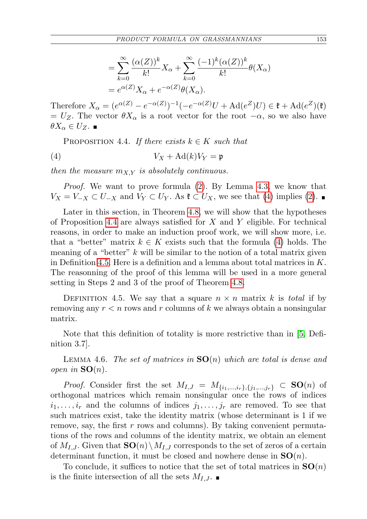$$
= \sum_{k=0}^{\infty} \frac{(\alpha(Z))^k}{k!} X_{\alpha} + \sum_{k=0}^{\infty} \frac{(-1)^k (\alpha(Z))^k}{k!} \theta(X_{\alpha})
$$

$$
= e^{\alpha(Z)} X_{\alpha} + e^{-\alpha(Z)} \theta(X_{\alpha}).
$$

Therefore  $X_{\alpha} = (e^{\alpha(Z)} - e^{-\alpha(Z)})^{-1}(-e^{-\alpha(Z)}U + \text{Ad}(e^Z)U) \in \mathfrak{k} + \text{Ad}(e^Z)(\mathfrak{k})$  $= U_Z$ . The vector  $\theta X_\alpha$  is a root vector for the root  $-\alpha$ , so we also have  $\theta X_{\alpha}\in U_{Z}$ .

<span id="page-8-1"></span><span id="page-8-0"></span>PROPOSITION 4.4. If there exists  $k \in K$  such that

$$
(4) \t\t V_X + \mathrm{Ad}(k)V_Y = \mathfrak{p}
$$

then the measure  $m_{XY}$  is absolutely continuous.

Proof. We want to prove formula [\(2\)](#page-7-1). By Lemma [4.3,](#page-7-2) we know that  $V_X = V_{-X} \subset U_{-X}$  and  $V_Y \subset U_Y$ . As  $\mathfrak{k} \subset U_X$ , we see that [\(4\)](#page-8-1) implies [\(2\)](#page-7-1).

Later in this section, in Theorem [4.8,](#page-9-0) we will show that the hypotheses of Proposition [4.4](#page-8-0) are always satisfied for  $X$  and  $Y$  eligible. For technical reasons, in order to make an induction proof work, we will show more, i.e. that a "better" matrix  $k \in K$  exists such that the formula [\(4\)](#page-8-1) holds. The meaning of a "better"  $k$  will be similar to the notion of a total matrix given in Definition [4.5.](#page-8-2) Here is a definition and a lemma about total matrices in K. The reasonning of the proof of this lemma will be used in a more general setting in Steps 2 and 3 of the proof of Theorem [4.8.](#page-9-0)

<span id="page-8-2"></span>DEFINITION 4.5. We say that a square  $n \times n$  matrix k is total if by removing any  $r < n$  rows and r columns of k we always obtain a nonsingular matrix.

Note that this definition of totality is more restrictive than in [\[5,](#page-22-8) Definition 3.7].

<span id="page-8-3"></span>LEMMA 4.6. The set of matrices in  $SO(n)$  which are total is dense and open in  $SO(n)$ .

*Proof.* Consider first the set  $M_{I,J} = M_{\{i_1,\dots,i_r\},\{j_1,\dots,j_r\}} \subset SO(n)$  of orthogonal matrices which remain nonsingular once the rows of indices  $i_1, \ldots, i_r$  and the columns of indices  $j_1, \ldots, j_r$  are removed. To see that such matrices exist, take the identity matrix (whose determinant is 1 if we remove, say, the first  $r$  rows and columns). By taking convenient permutations of the rows and columns of the identity matrix, we obtain an element of  $M_{I,J}$ . Given that  $SO(n)\setminus M_{I,J}$  corresponds to the set of zeros of a certain determinant function, it must be closed and nowhere dense in  $SO(n)$ .

To conclude, it suffices to notice that the set of total matrices in  $SO(n)$ is the finite intersection of all the sets  $M_{I,J}$ .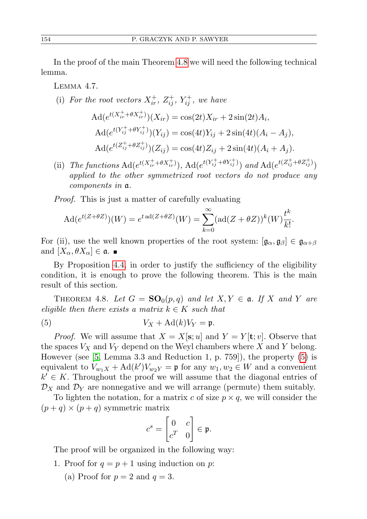In the proof of the main Theorem [4.8](#page-9-0) we will need the following technical lemma.

<span id="page-9-2"></span>Lemma 4.7.

(i) For the root vectors  $X_{ir}^+$ ,  $Z_{ij}^+$ ,  $Y_{ij}^+$ , we have

$$
\begin{aligned} \text{Ad}(e^{t(X_{ir}^{+}+\theta X_{ir}^{+})})(X_{ir}) &= \cos(2t)X_{ir} + 2\sin(2t)A_i, \\ \text{Ad}(e^{t(Y_{ij}^{+}+\theta Y_{ij}^{+})})(Y_{ij}) &= \cos(4t)Y_{ij} + 2\sin(4t)(A_i - A_j), \\ \text{Ad}(e^{t(Z_{ij}^{+}+\theta Z_{ij}^{+})})(Z_{ij}) &= \cos(4t)Z_{ij} + 2\sin(4t)(A_i + A_j). \end{aligned}
$$

(ii) The functions  $\operatorname{Ad}(e^{t(X_{ir}^+ + \theta X_{ir}^+)}), \operatorname{Ad}(e^{t(Y_{ij}^+ + \theta Y_{ij}^+)})$  and  $\operatorname{Ad}(e^{t(Z_{ij}^+ + \theta Z_{ij}^+)})$ applied to the other symmetrized root vectors do not produce any components in a.

Proof. This is just a matter of carefully evaluating

$$
Ad(e^{t(Z+\theta Z)})(W) = e^{t \operatorname{ad}(Z+\theta Z)}(W) = \sum_{k=0}^{\infty} (\operatorname{ad}(Z+\theta Z))^k (W) \frac{t^k}{k!}.
$$

For (ii), use the well known properties of the root system:  $[\mathfrak{g}_{\alpha}, \mathfrak{g}_{\beta}] \in \mathfrak{g}_{\alpha+\beta}$ and  $[X_{\alpha}, \theta X_{\alpha}] \in \mathfrak{a}.$ 

By Proposition [4.4,](#page-8-0) in order to justify the sufficiency of the eligibility condition, it is enough to prove the following theorem. This is the main result of this section.

<span id="page-9-0"></span>THEOREM 4.8. Let  $G = SO_0(p,q)$  and let  $X, Y \in \mathfrak{a}$ . If X and Y are eligible then there exists a matrix  $k \in K$  such that

<span id="page-9-1"></span>(5) 
$$
V_X + \mathrm{Ad}(k)V_Y = \mathfrak{p}.
$$

*Proof.* We will assume that  $X = X[\mathbf{s}; u]$  and  $Y = Y[\mathbf{t}; v]$ . Observe that the spaces  $V_X$  and  $V_Y$  depend on the Weyl chambers where X and Y belong. However (see [\[5,](#page-22-8) Lemma 3.3 and Reduction 1, p. 759]), the property [\(5\)](#page-9-1) is equivalent to  $V_{w_1X} + \text{Ad}(k')V_{w_2Y} = \mathfrak{p}$  for any  $w_1, w_2 \in W$  and a convenient  $k' \in K$ . Throughout the proof we will assume that the diagonal entries of  $\mathcal{D}_X$  and  $\mathcal{D}_Y$  are nonnegative and we will arrange (permute) them suitably.

To lighten the notation, for a matrix c of size  $p \times q$ , we will consider the  $(p+q) \times (p+q)$  symmetric matrix

$$
c^s = \begin{bmatrix} 0 & c \\ c^T & 0 \end{bmatrix} \in \mathfrak{p}.
$$

The proof will be organized in the following way:

- 1. Proof for  $q = p + 1$  using induction on p:
	- (a) Proof for  $p = 2$  and  $q = 3$ .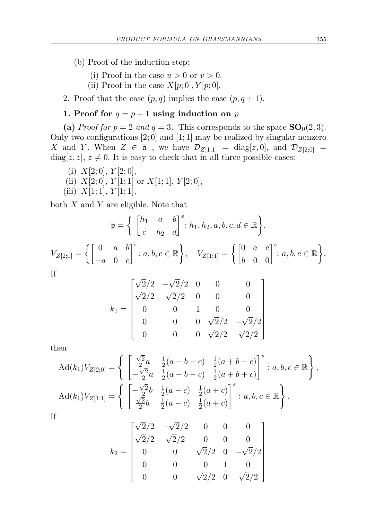- (b) Proof of the induction step:
	- (i) Proof in the case  $u > 0$  or  $v > 0$ .
	- (ii) Proof in the case  $X[p;0], Y[p;0].$
- 2. Proof that the case  $(p, q)$  implies the case  $(p, q + 1)$ .

## 1. Proof for  $q = p + 1$  using induction on p

(a) Proof for  $p = 2$  and  $q = 3$ . This corresponds to the space  $SO_0(2,3)$ . Only two configurations  $[2;0]$  and  $[1;1]$  may be realized by singular nonzero X and Y. When  $Z \in \bar{\mathfrak{a}}^+$ , we have  $\mathcal{D}_{Z[1;1]} = \text{diag}[z,0]$ , and  $\mathcal{D}_{Z[2;0]} =$ diag[ $z, z$ ],  $z \neq 0$ . It is easy to check that in all three possible cases:

- (i)  $X[2;0], Y[2;0],$
- (ii)  $X[2;0], Y[1;1]$  or  $X[1;1], Y[2;0],$
- (iii)  $X[1; 1], Y[1; 1],$

both  $X$  and  $Y$  are eligible. Note that

$$
\mathfrak{p} = \left\{ \begin{bmatrix} h_1 & a & b \\ c & h_2 & d \end{bmatrix}^s : h_1, h_2, a, b, c, d \in \mathbb{R} \right\},\
$$
  

$$
V_{Z[2;0]} = \left\{ \begin{bmatrix} 0 & a & b \\ -a & 0 & c \end{bmatrix}^s : a, b, c \in \mathbb{R} \right\}, \quad V_{Z[1;1]} = \left\{ \begin{bmatrix} 0 & a & c \\ b & 0 & 0 \end{bmatrix}^s : a, b, c \in \mathbb{R} \right\}.
$$
  
If  

$$
\sqrt{2}/2 - \sqrt{2}/2 = 0 = 0
$$

$$
k_1 = \begin{bmatrix} \sqrt{2}/2 & -\sqrt{2}/2 & 0 & 0 & 0 \\ \sqrt{2}/2 & \sqrt{2}/2 & 0 & 0 & 0 \\ 0 & 0 & 1 & 0 & 0 \\ 0 & 0 & 0 & \sqrt{2}/2 & -\sqrt{2}/2 \\ 0 & 0 & 0 & \sqrt{2}/2 & \sqrt{2}/2 \end{bmatrix}
$$

then

$$
\operatorname{Ad}(k_1)V_{Z[2;0]} = \left\{ \begin{bmatrix} \frac{\sqrt{2}}{2}a & \frac{1}{2}(a-b+c) & \frac{1}{2}(a+b-c) \\ -\frac{\sqrt{2}}{2}a & \frac{1}{2}(a-b-c) & \frac{1}{2}(a+b+c) \end{bmatrix}^s : a, b, c \in \mathbb{R} \right\},
$$

$$
\operatorname{Ad}(k_1)V_{Z[1;1]} = \left\{ \begin{bmatrix} -\frac{\sqrt{2}}{2}b & \frac{1}{2}(a-c) & \frac{1}{2}(a+c) \\ \frac{\sqrt{2}}{2}b & \frac{1}{2}(a-c) & \frac{1}{2}(a+c) \end{bmatrix}^s : a, b, c \in \mathbb{R} \right\}.
$$

If

$$
k_2 = \begin{bmatrix} \sqrt{2}/2 & -\sqrt{2}/2 & 0 & 0 & 0 \\ \sqrt{2}/2 & \sqrt{2}/2 & 0 & 0 & 0 \\ 0 & 0 & \sqrt{2}/2 & 0 & -\sqrt{2}/2 \\ 0 & 0 & 0 & 1 & 0 \\ 0 & 0 & \sqrt{2}/2 & 0 & \sqrt{2}/2 \end{bmatrix}
$$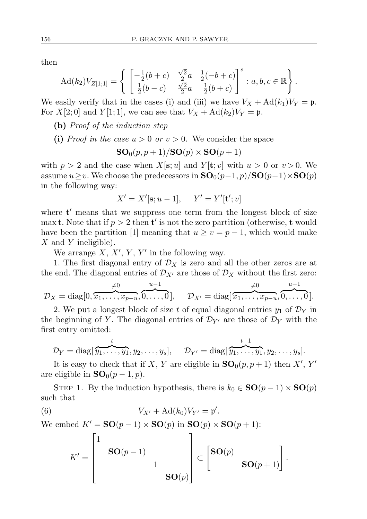then

$$
\mathrm{Ad}(k_2)V_{Z[1;1]} = \left\{ \begin{array}{ll} \left[ -\frac{1}{2}(b+c) & \frac{\sqrt{2}}{2}a & \frac{1}{2}(-b+c) \\ \frac{1}{2}(b-c) & \frac{\sqrt{2}}{2}a & \frac{1}{2}(b+c) \end{array} \right]^s : a, b, c \in \mathbb{R} \right\}.
$$

We easily verify that in the cases (i) and (iii) we have  $V_X + \text{Ad}(k_1)V_Y = \mathfrak{p}$ . For  $X[2;0]$  and  $Y[1;1]$ , we can see that  $V_X + \text{Ad}(k_2)V_Y = \mathfrak{p}$ .

- (b) Proof of the induction step
- (i) Proof in the case  $u > 0$  or  $v > 0$ . We consider the space

$$
\mathbf{SO}_0(p,p+1)/\mathbf{SO}(p)\times\mathbf{SO}(p+1)
$$

with  $p > 2$  and the case when  $X[\mathbf{s}; u]$  and  $Y[\mathbf{t}; v]$  with  $u > 0$  or  $v > 0$ . We assume  $u \geq v$ . We choose the predecessors in  $SO_0(p-1, p)/SO(p-1) \times SO(p)$ in the following way:

$$
X' = X'[s; u-1], \quad Y' = Y'[t'; v]
$$

where  $t'$  means that we suppress one term from the longest block of size max **t**. Note that if  $p > 2$  then **t'** is not the zero partition (otherwise, **t** would have been the partition [1] meaning that  $u \ge v = p - 1$ , which would make  $X$  and Y ineligible).

We arrange  $X, X', Y, Y'$  in the following way.

1. The first diagonal entry of  $\mathcal{D}_X$  is zero and all the other zeros are at the end. The diagonal entries of  $\mathcal{D}_{X'}$  are those of  $\mathcal{D}_X$  without the first zero:

$$
\mathcal{D}_X = \text{diag}[0, \overbrace{x_1, \ldots, x_{p-u}}^{\neq 0}, \overbrace{0, \ldots, 0}^{u-1}], \quad \mathcal{D}_{X'} = \text{diag}[\overbrace{x_1, \ldots, x_{p-u}}, \overbrace{0, \ldots, 0}^{u-1}].
$$

2. We put a longest block of size t of equal diagonal entries  $y_1$  of  $\mathcal{D}_Y$  in the beginning of Y. The diagonal entries of  $\mathcal{D}_{Y'}$  are those of  $\mathcal{D}_Y$  with the first entry omitted:

$$
\mathcal{D}_Y = \text{diag}[\overbrace{y_1,\ldots,y_1}^t,y_2,\ldots,y_s], \quad \mathcal{D}_{Y'} = \text{diag}[\overbrace{y_1,\ldots,y_1}^{t-1},y_2,\ldots,y_s].
$$

It is easy to check that if X, Y are eligible in  $SO_0(p, p+1)$  then X', Y' are eligible in  $SO_0(p-1, p)$ .

STEP 1. By the induction hypothesis, there is  $k_0 \in SO(p-1) \times SO(p)$ such that

(6) 
$$
V_{X'} + \mathrm{Ad}(k_0) V_{Y'} = \mathfrak{p}'.
$$

We embed  $K' = SO(p - 1) \times SO(p)$  in  $SO(p) \times SO(p + 1)$ :

<span id="page-11-0"></span>
$$
K' = \begin{bmatrix} 1 & & & \\ & \mathbf{SO}(p-1) & & \\ & & 1 & \\ & & & \mathbf{SO}(p) \end{bmatrix} \subset \begin{bmatrix} \mathbf{SO}(p) & & \\ & \mathbf{SO}(p+1) \end{bmatrix}.
$$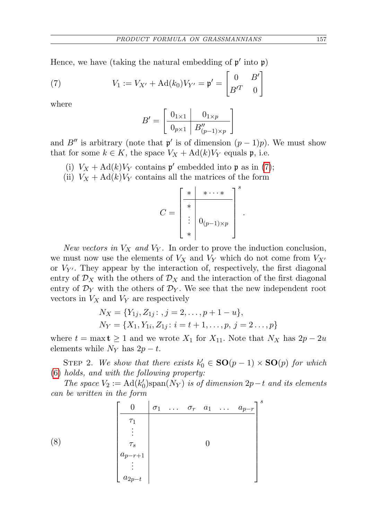Hence, we have (taking the natural embedding of  $p'$  into  $p$ )

(7) 
$$
V_1 := V_{X'} + \mathrm{Ad}(k_0) V_{Y'} = \mathfrak{p}' = \begin{bmatrix} 0 & B' \\ B'^T & 0 \end{bmatrix}
$$

where

<span id="page-12-0"></span>
$$
B' = \begin{bmatrix} 0_{1 \times 1} & 0_{1 \times p} \\ \hline 0_{p \times 1} & B''_{(p-1) \times p} \end{bmatrix}
$$

and B'' is arbitrary (note that  $\mathfrak{p}'$  is of dimension  $(p-1)p$ ). We must show that for some  $k \in K$ , the space  $V_X + \text{Ad}(k)V_Y$  equals p, i.e.

- (i)  $V_X + \text{Ad}(k)V_Y$  contains  $\mathfrak{p}'$  embedded into  $\mathfrak{p}$  as in [\(7\)](#page-12-0);
- (ii)  $V_X + \text{Ad}(k)V_Y$  contains all the matrices of the form

$$
C = \begin{bmatrix} * & * \cdots * \\ * & * \\ \vdots & 0_{(p-1)\times p} \\ * & * \end{bmatrix}^s
$$

.

New vectors in  $V_X$  and  $V_Y$ . In order to prove the induction conclusion, we must now use the elements of  $V_X$  and  $V_Y$  which do not come from  $V_{X'}$ or  $V_{Y'}$ . They appear by the interaction of, respectively, the first diagonal entry of  $\mathcal{D}_X$  with the others of  $\mathcal{D}_X$  and the interaction of the first diagonal entry of  $\mathcal{D}_Y$  with the others of  $\mathcal{D}_Y$ . We see that the new independent root vectors in  $V_X$  and  $V_Y$  are respectively

$$
N_X = \{Y_{1j}, Z_{1j} : , j = 2, \dots, p + 1 - u\},\
$$
  

$$
N_Y = \{X_1, Y_{1i}, Z_{1j} : i = t + 1, \dots, p, j = 2 \dots, p\}
$$

where  $t = \max t \ge 1$  and we wrote  $X_1$  for  $X_{11}$ . Note that  $N_X$  has  $2p - 2u$ elements while  $N_Y$  has  $2p-t$ .

STEP 2. We show that there exists  $k'_0 \in SO(p-1) \times SO(p)$  for which [\(6\)](#page-11-0) holds, and with the following property:

The space  $V_2 := \text{Ad}(k'_0) \text{span}(N_Y)$  is of dimension  $2p-t$  and its elements can be written in the form

(8) 
$$
\begin{bmatrix} 0 & \sigma_1 & \dots & \sigma_r & a_1 & \dots & a_{p-r} \\ \hline \tau_1 & & & & & \\ \vdots & & & & & \\ \sigma_s & & & & & \\ a_{p-r+1} & & & & \\ a_{p-r+1} & & & & \\ \vdots & & & & & \\ a_{2p-t} & & & & \end{bmatrix}^s
$$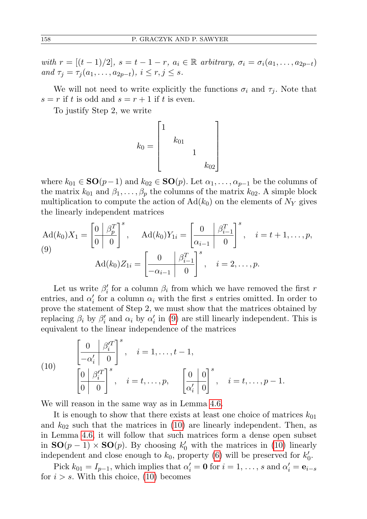with  $r = [(t-1)/2]$ ,  $s = t-1-r$ ,  $a_i \in \mathbb{R}$  arbitrary,  $\sigma_i = \sigma_i(a_1, \ldots, a_{2p-t})$ and  $\tau_j = \tau_j(a_1, \ldots, a_{2p-t}), i \leq r, j \leq s.$ 

We will not need to write explicitly the functions  $\sigma_i$  and  $\tau_j$ . Note that  $s = r$  if t is odd and  $s = r + 1$  if t is even.

To justify Step 2, we write

$$
k_0 = \begin{bmatrix} 1 & & & \\ & k_{01} & & \\ & & 1 & \\ & & & k_{02} \end{bmatrix}
$$

where  $k_{01} \in SO(p-1)$  and  $k_{02} \in SO(p)$ . Let  $\alpha_1, \ldots, \alpha_{p-1}$  be the columns of the matrix  $k_{01}$  and  $\beta_1, \ldots, \beta_p$  the columns of the matrix  $k_{02}$ . A simple block multiplication to compute the action of  $\text{Ad}(k_0)$  on the elements of  $N_Y$  gives the linearly independent matrices

<span id="page-13-0"></span>
$$
\operatorname{Ad}(k_0)X_1 = \begin{bmatrix} 0 & \beta_p^T \\ 0 & 0 \end{bmatrix}^s, \quad \operatorname{Ad}(k_0)Y_{1i} = \begin{bmatrix} 0 & \beta_{i-1}^T \\ \alpha_{i-1} & 0 \end{bmatrix}^s, \quad i = t+1, \dots, p,
$$
\n
$$
\operatorname{Ad}(k_0)Z_{1i} = \begin{bmatrix} 0 & \beta_{i-1}^T \\ -\alpha_{i-1} & 0 \end{bmatrix}^s, \quad i = 2, \dots, p.
$$

Let us write  $\beta'_i$  for a column  $\beta_i$  from which we have removed the first r entries, and  $\alpha'_i$  for a column  $\alpha_i$  with the first s entries omitted. In order to prove the statement of Step 2, we must show that the matrices obtained by replacing  $\beta_i$  by  $\beta'_i$  and  $\alpha_i$  by  $\alpha'_i$  in [\(9\)](#page-13-0) are still linearly independent. This is equivalent to the linear independence of the matrices

<span id="page-13-1"></span>(10) 
$$
\begin{bmatrix} 0 & \beta_i'^T \\ -\alpha_i' & 0 \end{bmatrix}^s, \quad i = 1, \dots, t-1,
$$

$$
\begin{bmatrix} 0 & \beta_i'^T \\ 0 & 0 \end{bmatrix}^s, \quad i = t, \dots, p, \quad \begin{bmatrix} 0 & 0 \\ \alpha_i' & 0 \end{bmatrix}^s, \quad i = t, \dots, p-1.
$$

We will reason in the same way as in Lemma [4.6.](#page-8-3)

It is enough to show that there exists at least one choice of matrices  $k_{01}$ and  $k_{02}$  such that the matrices in [\(10\)](#page-13-1) are linearly independent. Then, as in Lemma [4.6,](#page-8-3) it will follow that such matrices form a dense open subset in  $SO(p-1) \times SO(p)$ . By choosing  $k'_0$  with the matrices in [\(10\)](#page-13-1) linearly independent and close enough to  $k_0$ , property [\(6\)](#page-11-0) will be preserved for  $k'_0$ .

Pick  $k_{01} = I_{p-1}$ , which implies that  $\alpha'_i = \mathbf{0}$  for  $i = 1, \ldots, s$  and  $\alpha'_i = \mathbf{e}_{i-s}$ for  $i > s$ . With this choice, [\(10\)](#page-13-1) becomes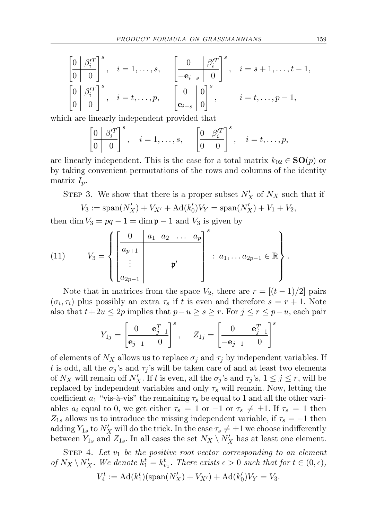$$
\begin{bmatrix}\n0 & \beta_i^{\prime T} \\
0 & 0\n\end{bmatrix}^s, \quad i = 1, \dots, s, \quad\n\begin{bmatrix}\n0 & \beta_i^{\prime T} \\
-e_{i-s} & 0\n\end{bmatrix}^s, \quad i = s+1, \dots, t-1,
$$
\n
$$
\begin{bmatrix}\n0 & \beta_i^{\prime T} \\
0 & 0\n\end{bmatrix}^s, \quad i = t, \dots, p, \quad\n\begin{bmatrix}\n0 & 0 \\
e_{i-s} & 0\n\end{bmatrix}^s, \quad i = t, \dots, p-1,
$$

which are linearly independent provided that

$$
\left[\begin{array}{c} 0 & \beta_i'^T \\ \hline 0 & 0 \end{array}\right]^s, \quad i = 1, \dots, s, \qquad \left[\begin{array}{c} 0 & \beta_i'^T \\ \hline 0 & 0 \end{array}\right]^s, \quad i = t, \dots, p,
$$

are linearly independent. This is the case for a total matrix  $k_{02} \in SO(p)$  or by taking convenient permutations of the rows and columns of the identity matrix  $I_p$ .

STEP 3. We show that there is a proper subset  $N'_X$  of  $N_X$  such that if

$$
V_3 := \text{span}(N'_X) + V_{X'} + \text{Ad}(k'_0)V_Y = \text{span}(N'_X) + V_1 + V_2,
$$

then dim  $V_3 = pq - 1 = \dim p - 1$  and  $V_3$  is given by

<span id="page-14-0"></span>(11) 
$$
V_3 = \begin{cases} \begin{bmatrix} 0 & a_1 & a_2 & \dots & a_p \\ a_{p+1} & & \\ \vdots & & p' \\ a_{2p-1} & & \end{bmatrix}^s : a_1, \dots a_{2p-1} \in \mathbb{R} \end{cases}.
$$

Note that in matrices from the space  $V_2$ , there are  $r = \frac{(t-1)}{2}$  pairs  $(\sigma_i, \tau_i)$  plus possibly an extra  $\tau_s$  if t is even and therefore  $s = r + 1$ . Note also that  $t+2u \leq 2p$  implies that  $p-u \geq s \geq r$ . For  $j \leq r \leq p-u$ , each pair

$$
Y_{1j} = \begin{bmatrix} 0 & \mathbf{e}_{j-1}^T \\ \hline \mathbf{e}_{j-1} & 0 \end{bmatrix}^s, \quad Z_{1j} = \begin{bmatrix} 0 & \mathbf{e}_{j-1}^T \\ \hline -\mathbf{e}_{j-1} & 0 \end{bmatrix}^s
$$

of elements of  $N_X$  allows us to replace  $\sigma_i$  and  $\tau_j$  by independent variables. If t is odd, all the  $\sigma_j$ 's and  $\tau_j$ 's will be taken care of and at least two elements of  $N_X$  will remain off  $N'_X$ . If t is even, all the  $\sigma_j$ 's and  $\tau_j$ 's,  $1 \le j \le r$ , will be replaced by independent variables and only  $\tau_s$  will remain. Now, letting the coefficient  $a_1$  "vis-à-vis" the remaining  $\tau_s$  be equal to 1 and all the other variables  $a_i$  equal to 0, we get either  $\tau_s = 1$  or  $-1$  or  $\tau_s \neq \pm 1$ . If  $\tau_s = 1$  then  $Z_{1s}$  allows us to introduce the missing independent variable, if  $\tau_s = -1$  then adding  $Y_{1s}$  to  $N'_X$  will do the trick. In the case  $\tau_s \neq \pm 1$  we choose indifferently between  $Y_{1s}$  and  $Z_{1s}$ . In all cases the set  $N_X \setminus N'_X$  has at least one element.

STEP 4. Let  $v_1$  be the positive root vector corresponding to an element of  $N_X \setminus N'_X$ . We denote  $k_1^t = k_{v_1}^t$ . There exists  $\epsilon > 0$  such that for  $t \in (0, \epsilon)$ ,  $V_4^t := \text{Ad}(k_1^t)(\text{span}(N'_X) + V_{X'}) + \text{Ad}(k'_0)V_Y = V_3.$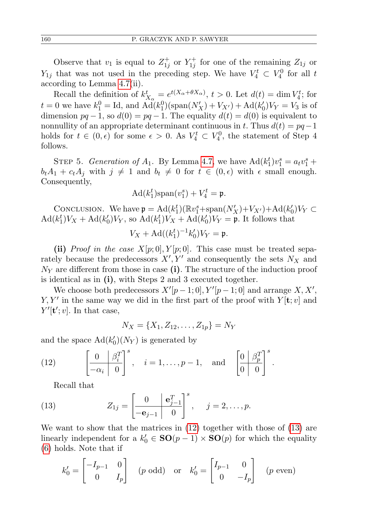Observe that  $v_1$  is equal to  $Z_{1j}^+$  or  $Y_{1j}^+$  for one of the remaining  $Z_{1j}$  or  $Y_{1j}$  that was not used in the preceding step. We have  $V_4^t \subset V_4^0$  for all t according to Lemma [4.7\(](#page-9-2)ii).

Recall the definition of  $k_{X_{\alpha}}^t = e^{t(X_{\alpha} + \theta X_{\alpha})}, t > 0$ . Let  $d(t) = \dim V_4^t$ ; for  $t = 0$  we have  $k_1^0 = \text{Id}$ , and  $\text{Ad}(k_1^0)(\text{span}(N'_X) + V_{X'}) + \text{Ad}(k'_0)V_Y = V_3$  is of dimension  $pq-1$ , so  $d(0) = pq-1$ . The equality  $d(t) = d(0)$  is equivalent to nonnullity of an appropriate determinant continuous in t. Thus  $d(t) = pq-1$ holds for  $t \in (0, \epsilon)$  for some  $\epsilon > 0$ . As  $V_4^t \subset V_4^0$ , the statement of Step 4 follows.

STEP 5. Generation of  $A_1$ . By Lemma [4.7,](#page-9-2) we have  $\text{Ad}(k_1^t)v_1^s = a_tv_1^s + b$  $b_t A_1 + c_t A_j$  with  $j \neq 1$  and  $b_t \neq 0$  for  $t \in (0, \epsilon)$  with  $\epsilon$  small enough. Consequently,

$$
\mathrm{Ad}(k_1^t)\mathrm{span}(v_1^s)+V_4^t=\mathfrak{p}.
$$

CONCLUSION. We have  $\mathfrak{p} = \text{Ad}(k_1^t)(\mathbb{R}v_1^s + \text{span}(N'_X) + V_{X'}) + \text{Ad}(k'_0)V_Y \subset$  $\text{Ad}(k_1^t)V_X + \text{Ad}(k_0^t)V_Y$ , so  $\text{Ad}(k_1^t)V_X + \text{Ad}(k_0^t)V_Y = \mathfrak{p}$ . It follows that

$$
V_X + \mathrm{Ad}((k_1^t)^{-1}k_0')V_Y = \mathfrak{p}.
$$

(ii) Proof in the case  $X[p;0], Y[p;0]$ . This case must be treated separately because the predecessors  $X', Y'$  and consequently the sets  $N_X$  and  $N_Y$  are different from those in case (i). The structure of the induction proof is identical as in (i), with Steps 2 and 3 executed together.

We choose both predecessors  $X'[p-1;0], Y'[p-1;0]$  and arrange  $X, X'$ ,  $Y, Y'$  in the same way we did in the first part of the proof with  $Y[\mathbf{t}; v]$  and  $Y'[t';v]$ . In that case,

$$
N_X = \{X_1, Z_{12}, \dots, Z_{1p}\} = N_Y
$$

and the space  $\text{Ad}(k_0')(N_Y)$  is generated by

(12) 
$$
\left[\begin{array}{cc|c} 0 & \beta_i^T \\ \hline -\alpha_i & 0 \end{array}\right]^s
$$
,  $i = 1, ..., p-1$ , and  $\left[\begin{array}{cc|c} 0 & \beta_p^T \\ \hline 0 & 0 \end{array}\right]^s$ .

<span id="page-15-1"></span><span id="page-15-0"></span>Recall that

(13) 
$$
Z_{1j} = \left[\begin{array}{c|c} 0 & \mathbf{e}_{j-1}^T \\ \hline -\mathbf{e}_{j-1} & 0 \end{array}\right]^s, \quad j = 2, \ldots, p.
$$

We want to show that the matrices in [\(12\)](#page-15-0) together with those of [\(13\)](#page-15-1) are linearly independent for a  $k'_0 \in SO(p-1) \times SO(p)$  for which the equality [\(6\)](#page-11-0) holds. Note that if

$$
k'_0 = \begin{bmatrix} -I_{p-1} & 0 \\ 0 & I_p \end{bmatrix} \quad (p \text{ odd}) \quad \text{or} \quad k'_0 = \begin{bmatrix} I_{p-1} & 0 \\ 0 & -I_p \end{bmatrix} \quad (p \text{ even})
$$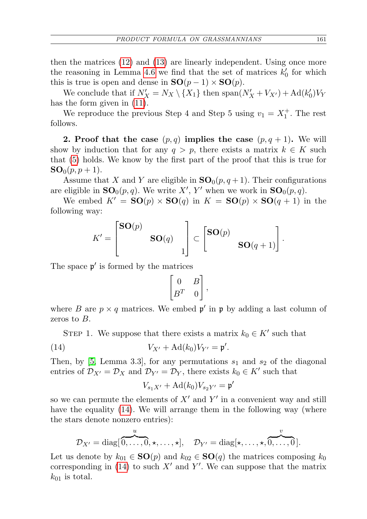then the matrices [\(12\)](#page-15-0) and [\(13\)](#page-15-1) are linearly independent. Using once more the reasoning in Lemma [4.6](#page-8-3) we find that the set of matrices  $k'_0$  for which this is true is open and dense in  $SO(p-1) \times SO(p)$ .

We conclude that if  $N'_X = N_X \setminus \{X_1\}$  then  $\text{span}(N'_X + V_{X'}) + \text{Ad}(k'_0)V_Y$ has the form given in [\(11\)](#page-14-0).

We reproduce the previous Step 4 and Step 5 using  $v_1 = X_1^+$ . The rest follows.

2. Proof that the case  $(p,q)$  implies the case  $(p,q+1)$ . We will show by induction that for any  $q > p$ , there exists a matrix  $k \in K$  such that [\(5\)](#page-9-1) holds. We know by the first part of the proof that this is true for  $SO_0(p, p+1)$ .

Assume that X and Y are eligible in  $SO_0(p, q+1)$ . Their configurations are eligible in  $SO_0(p,q)$ . We write X', Y' when we work in  $SO_0(p,q)$ .

We embed  $K' = SO(p) \times SO(q)$  in  $K = SO(p) \times SO(q + 1)$  in the following way:

$$
K' = \begin{bmatrix} \mathbf{SO}(p) & \\ & \mathbf{SO}(q) & \\ & & 1 \end{bmatrix} \subset \begin{bmatrix} \mathbf{SO}(p) & \\ & \mathbf{SO}(q+1) \end{bmatrix}.
$$

The space  $\mathfrak{p}'$  is formed by the matrices

$$
\begin{bmatrix} 0 & B \\ B^T & 0 \end{bmatrix},
$$

where B are  $p \times q$  matrices. We embed  $p'$  in p by adding a last column of zeros to B.

STEP 1. We suppose that there exists a matrix  $k_0 \in K'$  such that

(14) 
$$
V_{X'} + \mathrm{Ad}(k_0) V_{Y'} = \mathfrak{p}'.
$$

 $\overline{u}$ 

Then, by [\[5,](#page-22-8) Lemma 3.3], for any permutations  $s_1$  and  $s_2$  of the diagonal entries of  $\mathcal{D}_{X'} = \mathcal{D}_X$  and  $\mathcal{D}_{Y'} = \mathcal{D}_Y$ , there exists  $k_0 \in K'$  such that

<span id="page-16-0"></span>
$$
V_{s_1X'} + \mathrm{Ad}(k_0)V_{s_2Y'} = \mathfrak{p}'
$$

so we can permute the elements of  $X'$  and  $Y'$  in a convenient way and still have the equality [\(14\)](#page-16-0). We will arrange them in the following way (where the stars denote nonzero entries):

$$
\mathcal{D}_{X'} = \text{diag}[\overbrace{0,\ldots,0}^{\omega},\star,\ldots,\star], \quad \mathcal{D}_{Y'} = \text{diag}[\star,\ldots,\star,\overbrace{0,\ldots,0}^{\omega}].
$$

 $\alpha$ 

Let us denote by  $k_{01} \in SO(p)$  and  $k_{02} \in SO(q)$  the matrices composing  $k_0$ corresponding in [\(14\)](#page-16-0) to such  $X'$  and  $Y'$ . We can suppose that the matrix  $k_{01}$  is total.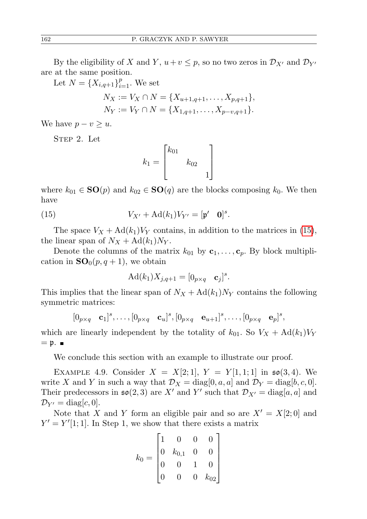By the eligibility of X and Y,  $u+v \leq p$ , so no two zeros in  $\mathcal{D}_{X'}$  and  $\mathcal{D}_{Y'}$ are at the same position.

Let 
$$
N = \{X_{i,q+1}\}_{i=1}^p
$$
. We set  
\n
$$
N_X := V_X \cap N = \{X_{u+1,q+1}, \dots, X_{p,q+1}\},
$$
\n
$$
N_Y := V_Y \cap N = \{X_{1,q+1}, \dots, X_{p-v,q+1}\}.
$$

We have  $p - v \geq u$ .

STEP 2. Let

<span id="page-17-0"></span>
$$
k_1 = \begin{bmatrix} k_{01} & & \\ & k_{02} & \\ & & 1 \end{bmatrix}
$$

where  $k_{01} \in SO(p)$  and  $k_{02} \in SO(q)$  are the blocks composing  $k_0$ . We then have

(15) 
$$
V_{X'} + \mathrm{Ad}(k_1) V_{Y'} = [\mathfrak{p}' \quad \mathbf{0}]^s.
$$

The space  $V_X + \text{Ad}(k_1)V_Y$  contains, in addition to the matrices in [\(15\)](#page-17-0), the linear span of  $N_X + \text{Ad}(k_1)N_Y$ .

Denote the columns of the matrix  $k_{01}$  by  $c_1, \ldots, c_p$ . By block multiplication in  $SO_0(p,q+1)$ , we obtain

$$
Ad(k_1)X_{j,q+1}=[0_{p\times q}\quad \mathbf{c}_j]^s.
$$

This implies that the linear span of  $N_X + \text{Ad}(k_1)N_Y$  contains the following symmetric matrices:

$$
[0_{p\times q}\quad \mathbf{c}_1]^s,\ldots,[0_{p\times q}\quad \mathbf{c}_u]^s,[0_{p\times q}\quad \mathbf{e}_{u+1}]^s,\ldots,[0_{p\times q}\quad \mathbf{e}_p]^s,
$$

which are linearly independent by the totality of  $k_{01}$ . So  $V_X + \text{Ad}(k_1)V_Y$  $=$  p.  $\blacksquare$ 

We conclude this section with an example to illustrate our proof.

EXAMPLE 4.9. Consider  $X = X[2;1], Y = Y[1,1;1]$  in  $\mathfrak{so}(3,4)$ . We write X and Y in such a way that  $\mathcal{D}_X = \text{diag}[0, a, a]$  and  $\mathcal{D}_Y = \text{diag}[b, c, 0]$ . Their predecessors in  $\mathfrak{so}(2,3)$  are X' and Y' such that  $\mathcal{D}_{X'} = \text{diag}[a, a]$  and  $\mathcal{D}_{Y'} = \text{diag}[c, 0].$ 

Note that X and Y form an eligible pair and so are  $X' = X[2; 0]$  and  $Y' = Y'[1; 1]$ . In Step 1, we show that there exists a matrix

$$
k_0 = \begin{bmatrix} 1 & 0 & 0 & 0 \\ 0 & k_{0,1} & 0 & 0 \\ 0 & 0 & 1 & 0 \\ 0 & 0 & 0 & k_{02} \end{bmatrix}
$$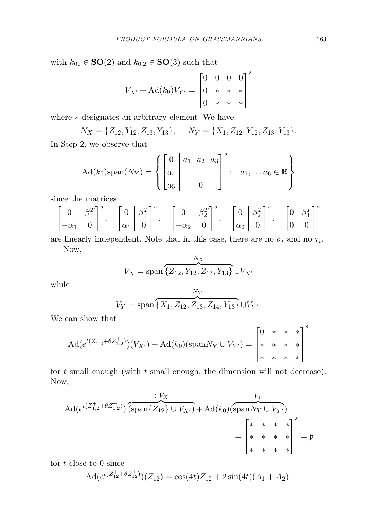with  $k_{01} \in SO(2)$  and  $k_{0,2} \in SO(3)$  such that

$$
V_{X'} + \mathrm{Ad}(k_0) V_{Y'} = \begin{bmatrix} 0 & 0 & 0 & 0 \\ 0 & * & * & * \\ 0 & * & * & * \end{bmatrix}^{s}
$$

where ∗ designates an arbitrary element. We have

$$
N_X = \{Z_{12}, Y_{12}, Z_{13}, Y_{13}\}, \quad N_Y = \{X_1, Z_{12}, Y_{12}, Z_{13}, Y_{13}\}.
$$

In Step 2, we observe that

$$
Ad(k_0)span(N_Y) = \left\{ \begin{bmatrix} 0 & a_1 & a_2 & a_3 \\ a_4 & & & \\ a_5 & & 0 & \end{bmatrix}^s : a_1, \dots a_6 \in \mathbb{R} \right\}
$$

since the matrices

$$
\left[\begin{array}{c|c} 0 & \beta_1^T \\ \hline -\alpha_1 & 0 \end{array}\right]^s, \quad \left[\begin{array}{c|c} 0 & \beta_1^T \\ \hline \alpha_1 & 0 \end{array}\right]^s, \quad \left[\begin{array}{c|c} 0 & \beta_2^T \\ \hline -\alpha_2 & 0 \end{array}\right]^s, \quad \left[\begin{array}{c|c} 0 & \beta_2^T \\ \hline \alpha_2 & 0 \end{array}\right]^s, \quad \left[\begin{array}{c|c} 0 & \beta_3^T \\ \hline 0 & 0 \end{array}\right]^s
$$

are linearly independent. Note that in this case, there are no  $\sigma_i$  and no  $\tau_i$ . Now,

$$
V_X = \text{span}\left\{ \overline{Z_{12}, Y_{12}, Z_{13}, Y_{13}} \right\} \cup V_X
$$

while

$$
V_Y = \text{span}\left\{ \overbrace{X_1, Z_{12}, Z_{13}, Z_{14}, Y_{13}}^{N_Y} \right\} \cup V_{Y'}.
$$

We can show that

$$
\mathrm{Ad}(e^{t(Z_{1,2}^+ + \theta Z_{1,2}^+)})(V_{X'}) + \mathrm{Ad}(k_0)(\mathrm{span} N_Y \cup V_{Y'}) = \begin{bmatrix} 0 & * & * & * \\ * & * & * & * \\ * & * & * & * \end{bmatrix}^s
$$

for  $t$  small enough (with  $t$  small enough, the dimension will not decrease). Now,

$$
\begin{aligned} \text{Ad}(e^{t(Z_{1,2}^+ + \theta Z_{1,2}^+)}) \overbrace{(\text{span}\{Z_{12}\} \cup V_{X'})}^{\subset V_X} + \text{Ad}(k_0) \overbrace{(\text{span} N_Y \cup V_{Y'})}^{V_Y} \\ &= \begin{bmatrix} * & * & * & * \\ * & * & * & * \\ * & * & * & * \end{bmatrix}^s = \mathfrak{p} \end{aligned}
$$

for  $t$  close to 0 since

$$
Ad(e^{t(Z_{12}^+ + \theta Z_{12}^+)}) (Z_{12}) = \cos(4t) Z_{12} + 2\sin(4t) (A_1 + A_2).
$$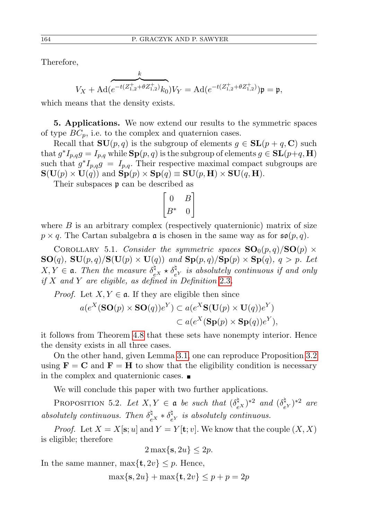Therefore,

$$
V_X + \mathrm{Ad} (e^{-t (Z^+_{1,2} + \theta Z^+_{1,2})} k_0) V_Y = \mathrm{Ad} (e^{-t (Z^+_{1,2} + \theta Z^+_{1,2})}) \mathfrak{p} = \mathfrak{p},
$$

which means that the density exists.

5. Applications. We now extend our results to the symmetric spaces of type  $BC_p$ , i.e. to the complex and quaternion cases.

Recall that  $SU(p,q)$  is the subgroup of elements  $q \in SL(p+q, \mathbb{C})$  such that  $g^*I_{p,q}g = I_{p,q}$  while  $\text{Sp}(p,q)$  is the subgroup of elements  $g \in \text{SL}(p+q, \mathbf{H})$ such that  $g^*I_{p,q}g = I_{p,q}$ . Their respective maximal compact subgroups are  $\mathbf{S}(\mathbf{U}(p) \times \mathbf{U}(q))$  and  $\mathbf{Sp}(p) \times \mathbf{Sp}(q) \equiv \mathbf{SU}(p,\mathbf{H}) \times \mathbf{SU}(q,\mathbf{H}).$ 

Their subspaces p can be described as

$$
\begin{bmatrix} 0 & B \\ B^* & 0 \end{bmatrix}
$$

where  $B$  is an arbitrary complex (respectively quaternionic) matrix of size  $p \times q$ . The Cartan subalgebra **a** is chosen in the same way as for  $\mathfrak{so}(p,q)$ .

<span id="page-19-0"></span>COROLLARY 5.1. Consider the symmetric spaces  $\mathbf{SO}_0(p,q)/\mathbf{SO}(p) \times$  $\mathbf{SO}(q)$ ,  $\mathbf{SU}(p,q)/\mathbf{S}(\mathbf{U}(p)\times\mathbf{U}(q))$  and  $\mathbf{Sp}(p,q)/\mathbf{Sp}(p)\times\mathbf{Sp}(q)$ ,  $q>p$ . Let  $X, Y \in \mathfrak{a}$ . Then the measure  $\delta_{e^X}^{\natural} \star \delta_{e^Y}^{\natural}$  is absolutely continuous if and only if  $X$  and  $Y$  are eligible, as defined in Definition [2.3](#page-5-0).

*Proof.* Let  $X, Y \in \mathfrak{a}$ . If they are eligible then since

$$
a(e^X(\mathbf{SO}(p)\times \mathbf{SO}(q))e^Y) \subset a(e^X \mathbf{S}(\mathbf{U}(p)\times \mathbf{U}(q))e^Y) \subset a(e^X(\mathbf{Sp}(p)\times \mathbf{Sp}(q))e^Y),
$$

it follows from Theorem [4.8](#page-9-0) that these sets have nonempty interior. Hence the density exists in all three cases.

On the other hand, given Lemma [3.1,](#page-5-1) one can reproduce Proposition [3.2](#page-6-0) using  $\mathbf{F} = \mathbf{C}$  and  $\mathbf{F} = \mathbf{H}$  to show that the eligibility condition is necessary in the complex and quaternionic cases.

We will conclude this paper with two further applications.

PROPOSITION 5.2. Let  $X, Y \in \mathfrak{a}$  be such that  $(\delta_{e^X}^{\natural})^{*2}$  and  $(\delta_{e^X}^{\natural})^{*2}$  $(e^{\mathfrak{p}})^{*2}$  are absolutely continuous. Then  $\delta_{eX}^{\natural} * \delta_{eX}^{\natural}$  $e^q$  is absolutely continuous.

*Proof.* Let  $X = X[\mathbf{s}; u]$  and  $Y = Y[\mathbf{t}; v]$ . We know that the couple  $(X, X)$ is eligible; therefore

$$
2\max\{\mathbf{s}, 2u\} \le 2p.
$$

In the same manner,  $\max\{\mathbf{t}, 2v\} \leq p$ . Hence,

$$
\max\{\mathbf{s}, 2u\} + \max\{\mathbf{t}, 2v\} \le p + p = 2p
$$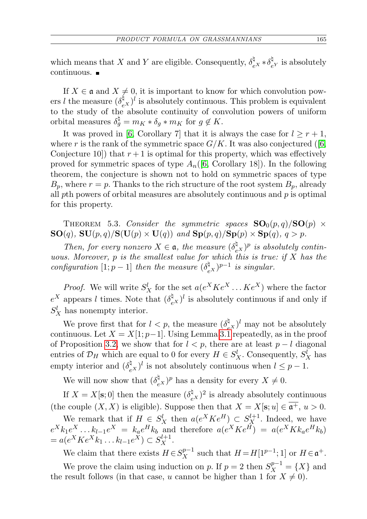which means that X and Y are eligible. Consequently,  $\delta_{eX}^{\natural} * \delta_{eX}^{\natural}$  $e^{\mu}$  is absolutely continuous.

If  $X \in \mathfrak{a}$  and  $X \neq 0$ , it is important to know for which convolution powers *l* the measure  $(\delta_{eX}^{\sharp})^l$  is absolutely continuous. This problem is equivalent to the study of the absolute continuity of convolution powers of uniform orbital measures  $\delta_g^{\natural} = m_K * \delta_g * m_K$  for  $g \notin K$ .

It was proved in [\[6,](#page-22-10) Corollary 7] that it is always the case for  $l \geq r+1$ , where r is the rank of the symmetric space  $G/K$ . It was also conjectured ([\[6,](#page-22-10) Conjecture 10) that  $r+1$  is optimal for this property, which was effectively proved for symmetric spaces of type  $A_n([6, \text{Corollary 18}]).$  $A_n([6, \text{Corollary 18}]).$  $A_n([6, \text{Corollary 18}]).$  In the following theorem, the conjecture is shown not to hold on symmetric spaces of type  $B_p$ , where  $r = p$ . Thanks to the rich structure of the root system  $B_p$ , already all pth powers of orbital measures are absolutely continuous and  $p$  is optimal for this property.

<span id="page-20-0"></span>THEOREM 5.3. Consider the symmetric spaces  $SO_0(p,q)/SO(p) \times$  $\mathbf{SO}(q)$ ,  $\mathbf{SU}(p,q)/\mathbf{S}(\mathbf{U}(p)\times\mathbf{U}(q))$  and  $\mathbf{Sp}(p,q)/\mathbf{Sp}(p)\times\mathbf{Sp}(q)$ ,  $q>p$ .

Then, for every nonzero  $X \in \mathfrak{a}$ , the measure  $(\delta_e^{\natural} x)^p$  is absolutely continuous. Moreover, p is the smallest value for which this is true: if  $\overline{X}$  has the configuration [1;  $p-1$ ] then the measure  $(\delta_e^{\dagger}_{\epsilon} \epsilon)^{p-1}$  is singular.

*Proof.* We will write  $S_X^l$  for the set  $a(e^X K e^X \dots K e^X)$  where the factor  $e^X$  appears l times. Note that  $(\delta_{e^X}^{\natural})^l$  is absolutely continuous if and only if  $S_X^l$  has nonempty interior.

We prove first that for  $l < p$ , the measure  $(\delta_e^{\dagger} \xi)^l$  may not be absolutely continuous. Let  $X = X[1; p-1]$ . Using Lemma [3.1](#page-5-1) repeatedly, as in the proof of Proposition [3.2,](#page-6-0) we show that for  $l < p$ , there are at least  $p - l$  diagonal entries of  $\mathcal{D}_H$  which are equal to 0 for every  $H \in S_X^l$ . Consequently,  $S_X^l$  has empty interior and  $(\delta_{e^X}^{\natural})^l$  is not absolutely continuous when  $l \leq p-1$ .

We will now show that  $(\delta_{e^X}^{\sharp})^p$  has a density for every  $X \neq 0$ .

If  $X = X[\mathbf{s}; 0]$  then the measure  $(\delta_{e^X}^{\dagger})^2$  is already absolutely continuous (the couple  $(X, X)$  is eligible). Suppose then that  $X = X[\mathbf{s}; u] \in \overline{\mathfrak{a}^+}, u > 0$ .

We remark that if  $H \in S_X^l$  then  $a(e^X K e^H) \subset S_X^{l+1}$ . Indeed, we have  $e^X k_1 e^X \dots k_{l-1} e^X = k_a e^H k_b$  and therefore  $a(e^X K e^H) = a(e^X K k_a e^H k_b)$  $= a(e^X K e^X k_1 \dots k_{l-1} e^X) \subset S_X^{l+1}.$ 

We claim that there exists  $H \in S_X^{p-1}$  such that  $H = H[1^{p-1}; 1]$  or  $H \in \mathfrak{a}^+$ . We prove the claim using induction on p. If  $p = 2$  then  $S_X^{p-1} = \{X\}$  and the result follows (in that case, u cannot be higher than 1 for  $X \neq 0$ ).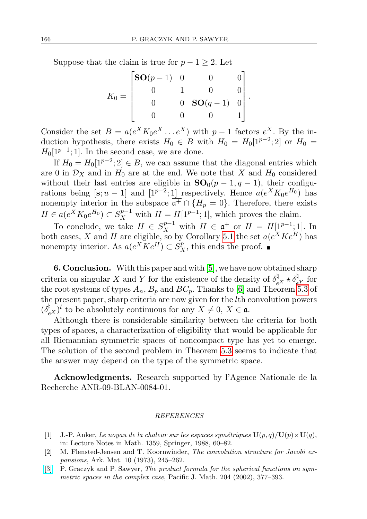Suppose that the claim is true for  $p - 1 \geq 2$ . Let

$$
K_0 = \begin{bmatrix} \mathbf{SO}(p-1) & 0 & 0 & 0 \\ 0 & 1 & 0 & 0 \\ 0 & 0 & \mathbf{SO}(q-1) & 0 \\ 0 & 0 & 0 & 1 \end{bmatrix}
$$

.

Consider the set  $B = a(e^X K_0 e^X \dots e^X)$  with  $p-1$  factors  $e^X$ . By the induction hypothesis, there exists  $H_0 \in B$  with  $H_0 = H_0[1^{p-2};2]$  or  $H_0 =$  $H_0[1^{p-1};1]$ . In the second case, we are done.

If  $H_0 = H_0[1^{p-2}; 2] \in B$ , we can assume that the diagonal entries which are 0 in  $\mathcal{D}_X$  and in  $H_0$  are at the end. We note that X and  $H_0$  considered without their last entries are eligible in  $SO_0(p-1, q-1)$ , their configurations being  $[s; u - 1]$  and  $[1^{p-2}; 1]$  respectively. Hence  $a(e^X K_0 e^{H_0})$  has nonempty interior in the subspace  $\overline{\mathfrak{a}^+} \cap \{H_p = 0\}$ . Therefore, there exists  $H \in a(e^X K_0 e^{H_0}) \subset S_X^{p-1}$  with  $H = H[1^{p-1}; 1]$ , which proves the claim.

To conclude, we take  $H \in S_X^{p-1}$  with  $H \in \mathfrak{a}^+$  or  $H = H[1^{p-1}; 1]$ . In both cases, X and H are eligible, so by Corollary [5.1](#page-19-0) the set  $a(e^X K e^H)$  has nonempty interior. As  $a(e^X \overline{K} e^H) \subset S_X^p$ , this ends the proof.

6. Conclusion. With this paper and with [\[5\]](#page-22-8), we have now obtained sharp criteria on singular X and Y for the existence of the density of  $\delta_{e^X}^{\natural} \star \delta_{e^Y}^{\natural}$  for the root systems of types  $A_n$ ,  $B_p$  and  $BC_p$ . Thanks to [\[6\]](#page-22-10) and Theorem [5.3](#page-20-0) of the present paper, sharp criteria are now given for the lth convolution powers  $(\delta_{e^X}^{\natural})^l$  to be absolutely continuous for any  $X \neq 0, X \in \mathfrak{a}$ .

Although there is considerable similarity between the criteria for both types of spaces, a characterization of eligibility that would be applicable for all Riemannian symmetric spaces of noncompact type has yet to emerge. The solution of the second problem in Theorem [5.3](#page-20-0) seems to indicate that the answer may depend on the type of the symmetric space.

Acknowledgments. Research supported by l'Agence Nationale de la Recherche ANR-09-BLAN-0084-01.

## REFERENCES

- <span id="page-21-0"></span>[1] J.-P. Anker, Le noyau de la chaleur sur les espaces symétriques  $\mathbf{U}(p,q)/\mathbf{U}(p)\times\mathbf{U}(q)$ , in: Lecture Notes in Math. 1359, Springer, 1988, 60–82.
- <span id="page-21-1"></span>[2] M. Flensted-Jensen and T. Koornwinder, The convolution structure for Jacobi expansions, Ark. Mat. 10 (1973), 245–262.
- <span id="page-21-2"></span>[\[3\]](http://dx.doi.org/10.2140/pjm.2002.204.377) P. Graczyk and P. Sawyer, The product formula for the spherical functions on symmetric spaces in the complex case, Pacific J. Math. 204 (2002), 377–393.